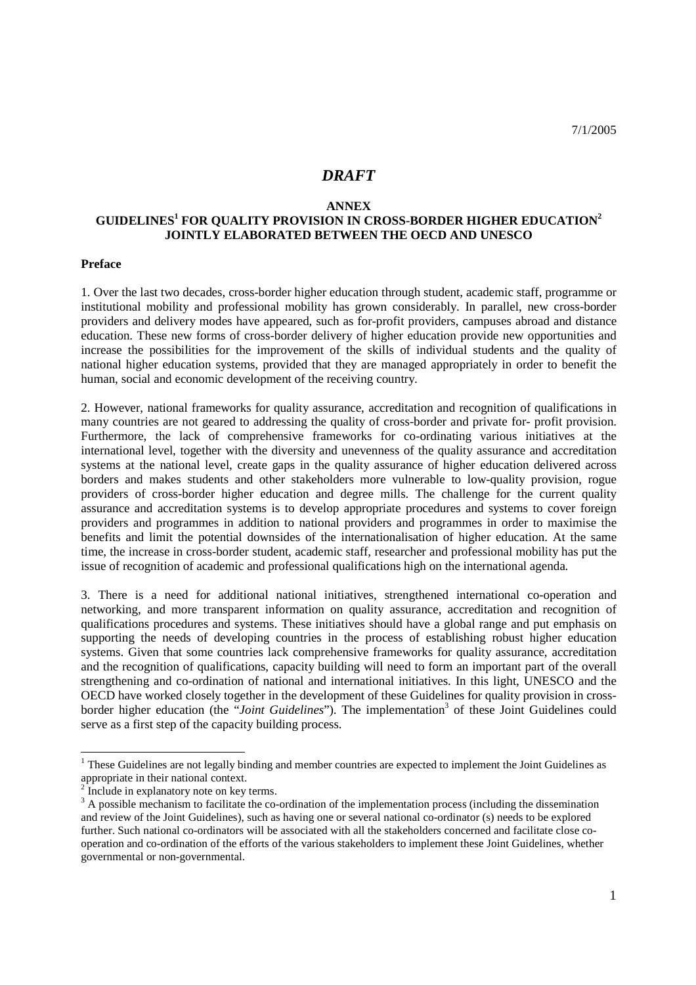# *DRAFT*

#### **ANNEX**

# **GUIDELINES1 FOR QUALITY PROVISION IN CROSS-BORDER HIGHER EDUCATION2 JOINTLY ELABORATED BETWEEN THE OECD AND UNESCO**

#### **Preface**

1. Over the last two decades, cross-border higher education through student, academic staff, programme or institutional mobility and professional mobility has grown considerably. In parallel, new cross-border providers and delivery modes have appeared, such as for-profit providers, campuses abroad and distance education. These new forms of cross-border delivery of higher education provide new opportunities and increase the possibilities for the improvement of the skills of individual students and the quality of national higher education systems, provided that they are managed appropriately in order to benefit the human, social and economic development of the receiving country.

2. However, national frameworks for quality assurance, accreditation and recognition of qualifications in many countries are not geared to addressing the quality of cross-border and private for- profit provision. Furthermore, the lack of comprehensive frameworks for co-ordinating various initiatives at the international level, together with the diversity and unevenness of the quality assurance and accreditation systems at the national level, create gaps in the quality assurance of higher education delivered across borders and makes students and other stakeholders more vulnerable to low-quality provision, rogue providers of cross-border higher education and degree mills. The challenge for the current quality assurance and accreditation systems is to develop appropriate procedures and systems to cover foreign providers and programmes in addition to national providers and programmes in order to maximise the benefits and limit the potential downsides of the internationalisation of higher education. At the same time, the increase in cross-border student, academic staff, researcher and professional mobility has put the issue of recognition of academic and professional qualifications high on the international agenda.

3. There is a need for additional national initiatives, strengthened international co-operation and networking, and more transparent information on quality assurance, accreditation and recognition of qualifications procedures and systems. These initiatives should have a global range and put emphasis on supporting the needs of developing countries in the process of establishing robust higher education systems. Given that some countries lack comprehensive frameworks for quality assurance, accreditation and the recognition of qualifications, capacity building will need to form an important part of the overall strengthening and co-ordination of national and international initiatives. In this light, UNESCO and the OECD have worked closely together in the development of these Guidelines for quality provision in crossborder higher education (the "*Joint Guidelines*"). The implementation<sup>3</sup> of these Joint Guidelines could serve as a first step of the capacity building process.

<u>.</u>

<sup>&</sup>lt;sup>1</sup> These Guidelines are not legally binding and member countries are expected to implement the Joint Guidelines as appropriate in their national context.

<sup>&</sup>lt;sup>2</sup> Include in explanatory note on key terms.

 $3$  A possible mechanism to facilitate the co-ordination of the implementation process (including the dissemination and review of the Joint Guidelines), such as having one or several national co-ordinator (s) needs to be explored further. Such national co-ordinators will be associated with all the stakeholders concerned and facilitate close cooperation and co-ordination of the efforts of the various stakeholders to implement these Joint Guidelines, whether governmental or non-governmental.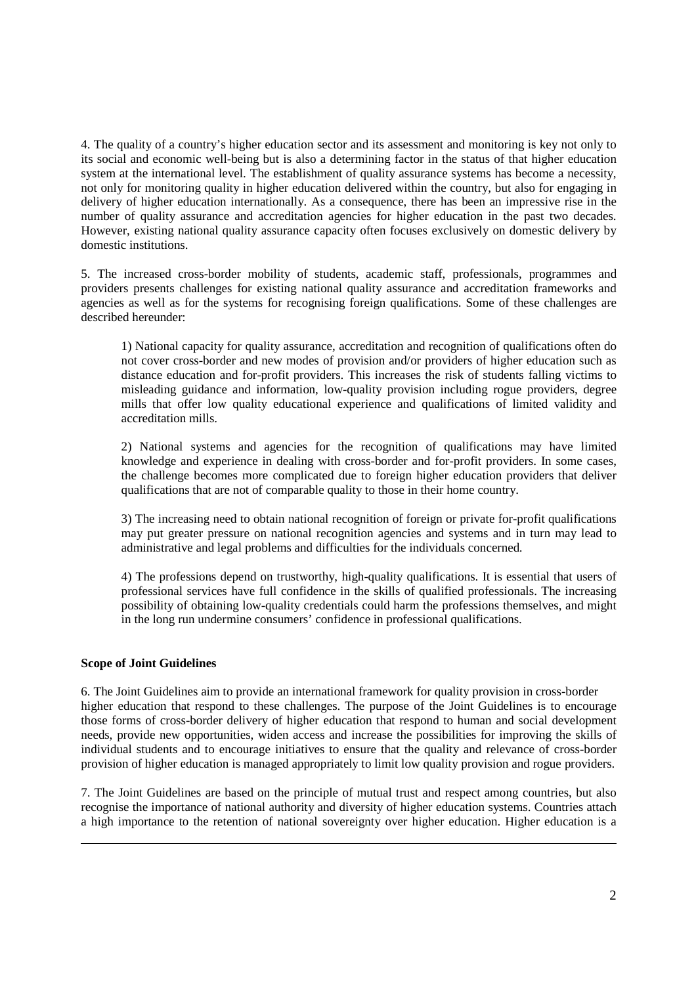4. The quality of a country's higher education sector and its assessment and monitoring is key not only to its social and economic well-being but is also a determining factor in the status of that higher education system at the international level. The establishment of quality assurance systems has become a necessity, not only for monitoring quality in higher education delivered within the country, but also for engaging in delivery of higher education internationally. As a consequence, there has been an impressive rise in the number of quality assurance and accreditation agencies for higher education in the past two decades. However, existing national quality assurance capacity often focuses exclusively on domestic delivery by domestic institutions.

5. The increased cross-border mobility of students, academic staff, professionals, programmes and providers presents challenges for existing national quality assurance and accreditation frameworks and agencies as well as for the systems for recognising foreign qualifications. Some of these challenges are described hereunder:

1) National capacity for quality assurance, accreditation and recognition of qualifications often do not cover cross-border and new modes of provision and/or providers of higher education such as distance education and for-profit providers. This increases the risk of students falling victims to misleading guidance and information, low-quality provision including rogue providers, degree mills that offer low quality educational experience and qualifications of limited validity and accreditation mills.

2) National systems and agencies for the recognition of qualifications may have limited knowledge and experience in dealing with cross-border and for-profit providers. In some cases, the challenge becomes more complicated due to foreign higher education providers that deliver qualifications that are not of comparable quality to those in their home country.

3) The increasing need to obtain national recognition of foreign or private for-profit qualifications may put greater pressure on national recognition agencies and systems and in turn may lead to administrative and legal problems and difficulties for the individuals concerned.

4) The professions depend on trustworthy, high-quality qualifications. It is essential that users of professional services have full confidence in the skills of qualified professionals. The increasing possibility of obtaining low-quality credentials could harm the professions themselves, and might in the long run undermine consumers' confidence in professional qualifications.

## **Scope of Joint Guidelines**

<u>.</u>

6. The Joint Guidelines aim to provide an international framework for quality provision in cross-border higher education that respond to these challenges. The purpose of the Joint Guidelines is to encourage those forms of cross-border delivery of higher education that respond to human and social development needs, provide new opportunities, widen access and increase the possibilities for improving the skills of individual students and to encourage initiatives to ensure that the quality and relevance of cross-border provision of higher education is managed appropriately to limit low quality provision and rogue providers.

7. The Joint Guidelines are based on the principle of mutual trust and respect among countries, but also recognise the importance of national authority and diversity of higher education systems. Countries attach a high importance to the retention of national sovereignty over higher education. Higher education is a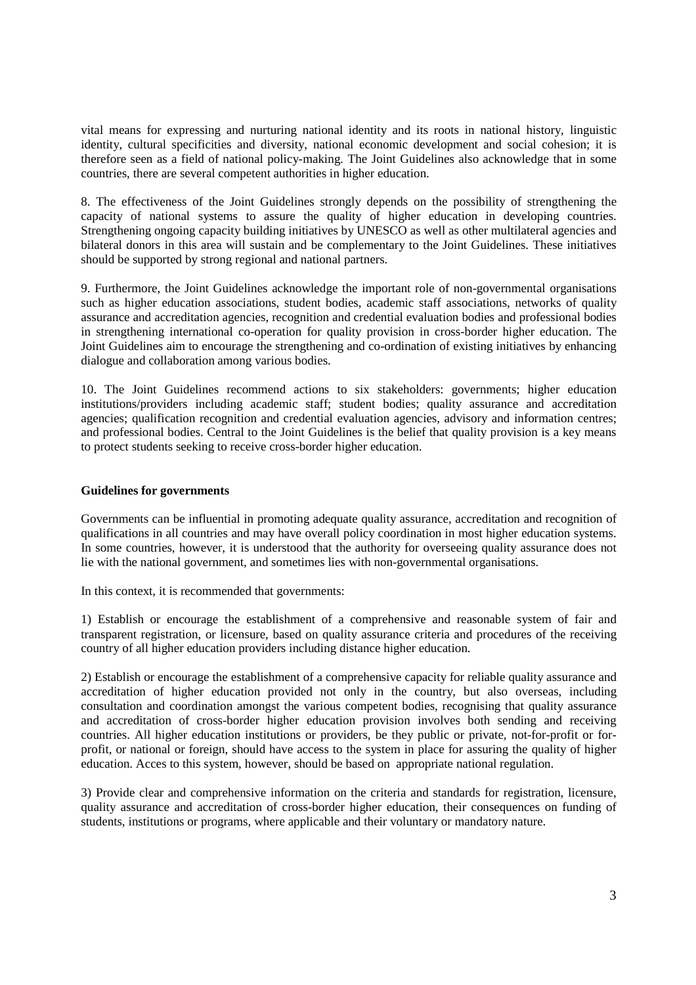vital means for expressing and nurturing national identity and its roots in national history, linguistic identity, cultural specificities and diversity, national economic development and social cohesion; it is therefore seen as a field of national policy-making. The Joint Guidelines also acknowledge that in some countries, there are several competent authorities in higher education.

8. The effectiveness of the Joint Guidelines strongly depends on the possibility of strengthening the capacity of national systems to assure the quality of higher education in developing countries. Strengthening ongoing capacity building initiatives by UNESCO as well as other multilateral agencies and bilateral donors in this area will sustain and be complementary to the Joint Guidelines. These initiatives should be supported by strong regional and national partners.

9. Furthermore, the Joint Guidelines acknowledge the important role of non-governmental organisations such as higher education associations, student bodies, academic staff associations, networks of quality assurance and accreditation agencies, recognition and credential evaluation bodies and professional bodies in strengthening international co-operation for quality provision in cross-border higher education. The Joint Guidelines aim to encourage the strengthening and co-ordination of existing initiatives by enhancing dialogue and collaboration among various bodies.

10. The Joint Guidelines recommend actions to six stakeholders: governments; higher education institutions/providers including academic staff; student bodies; quality assurance and accreditation agencies; qualification recognition and credential evaluation agencies, advisory and information centres; and professional bodies. Central to the Joint Guidelines is the belief that quality provision is a key means to protect students seeking to receive cross-border higher education.

#### **Guidelines for governments**

Governments can be influential in promoting adequate quality assurance, accreditation and recognition of qualifications in all countries and may have overall policy coordination in most higher education systems. In some countries, however, it is understood that the authority for overseeing quality assurance does not lie with the national government, and sometimes lies with non-governmental organisations.

In this context, it is recommended that governments:

1) Establish or encourage the establishment of a comprehensive and reasonable system of fair and transparent registration, or licensure, based on quality assurance criteria and procedures of the receiving country of all higher education providers including distance higher education.

2) Establish or encourage the establishment of a comprehensive capacity for reliable quality assurance and accreditation of higher education provided not only in the country, but also overseas, including consultation and coordination amongst the various competent bodies, recognising that quality assurance and accreditation of cross-border higher education provision involves both sending and receiving countries. All higher education institutions or providers, be they public or private, not-for-profit or forprofit, or national or foreign, should have access to the system in place for assuring the quality of higher education. Acces to this system, however, should be based on appropriate national regulation.

3) Provide clear and comprehensive information on the criteria and standards for registration, licensure, quality assurance and accreditation of cross-border higher education, their consequences on funding of students, institutions or programs, where applicable and their voluntary or mandatory nature.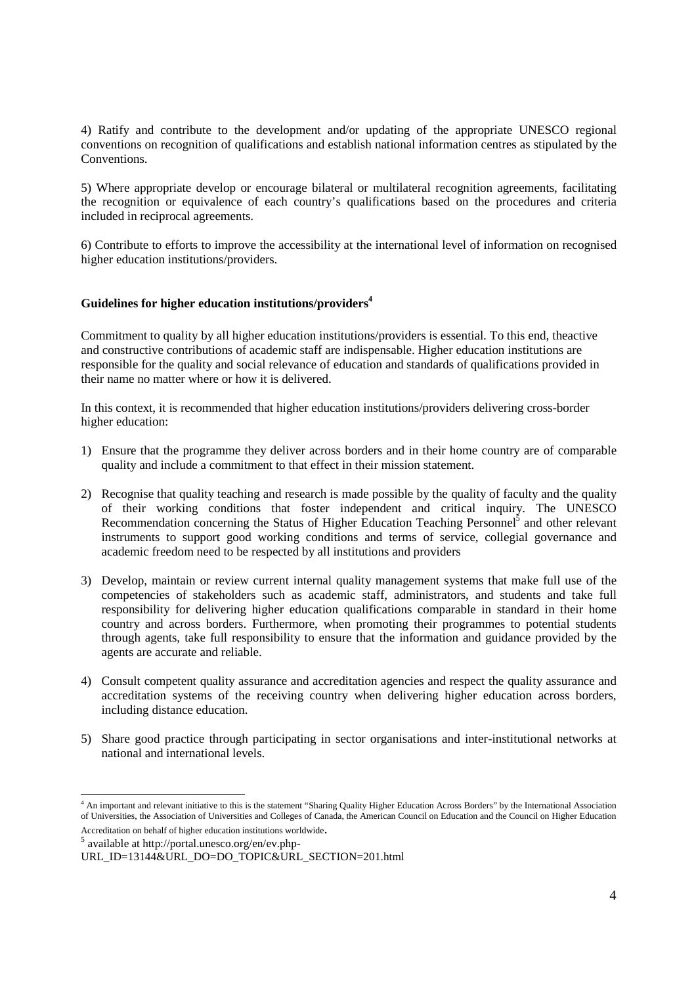4) Ratify and contribute to the development and/or updating of the appropriate UNESCO regional conventions on recognition of qualifications and establish national information centres as stipulated by the Conventions.

5) Where appropriate develop or encourage bilateral or multilateral recognition agreements, facilitating the recognition or equivalence of each country's qualifications based on the procedures and criteria included in reciprocal agreements.

6) Contribute to efforts to improve the accessibility at the international level of information on recognised higher education institutions/providers.

## **Guidelines for higher education institutions/providers4**

Commitment to quality by all higher education institutions/providers is essential. To this end, theactive and constructive contributions of academic staff are indispensable. Higher education institutions are responsible for the quality and social relevance of education and standards of qualifications provided in their name no matter where or how it is delivered.

In this context, it is recommended that higher education institutions/providers delivering cross-border higher education:

- 1) Ensure that the programme they deliver across borders and in their home country are of comparable quality and include a commitment to that effect in their mission statement.
- 2) Recognise that quality teaching and research is made possible by the quality of faculty and the quality of their working conditions that foster independent and critical inquiry. The UNESCO Recommendation concerning the Status of Higher Education Teaching Personnel<sup>5</sup> and other relevant instruments to support good working conditions and terms of service, collegial governance and academic freedom need to be respected by all institutions and providers
- 3) Develop, maintain or review current internal quality management systems that make full use of the competencies of stakeholders such as academic staff, administrators, and students and take full responsibility for delivering higher education qualifications comparable in standard in their home country and across borders. Furthermore, when promoting their programmes to potential students through agents, take full responsibility to ensure that the information and guidance provided by the agents are accurate and reliable.
- 4) Consult competent quality assurance and accreditation agencies and respect the quality assurance and accreditation systems of the receiving country when delivering higher education across borders, including distance education.
- 5) Share good practice through participating in sector organisations and inter-institutional networks at national and international levels.

available at http://portal.unesco.org/en/ev.php-

-

<sup>4</sup> An important and relevant initiative to this is the statement "Sharing Quality Higher Education Across Borders" by the International Association of Universities, the Association of Universities and Colleges of Canada, the American Council on Education and the Council on Higher Education Accreditation on behalf of higher education institutions worldwide.

URL\_ID=13144&URL\_DO=DO\_TOPIC&URL\_SECTION=201.html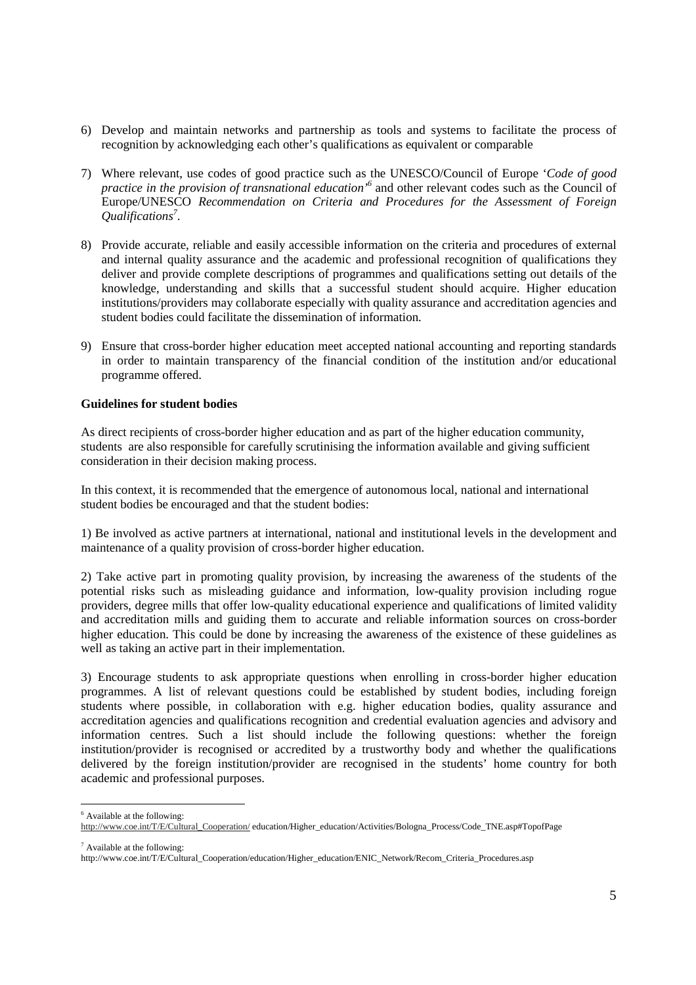- 6) Develop and maintain networks and partnership as tools and systems to facilitate the process of recognition by acknowledging each other's qualifications as equivalent or comparable
- 7) Where relevant, use codes of good practice such as the UNESCO/Council of Europe '*Code of good practice in the provision of transnational education'6* and other relevant codes such as the Council of Europe/UNESCO *Recommendation on Criteria and Procedures for the Assessment of Foreign Qualifications7* .
- 8) Provide accurate, reliable and easily accessible information on the criteria and procedures of external and internal quality assurance and the academic and professional recognition of qualifications they deliver and provide complete descriptions of programmes and qualifications setting out details of the knowledge, understanding and skills that a successful student should acquire. Higher education institutions/providers may collaborate especially with quality assurance and accreditation agencies and student bodies could facilitate the dissemination of information.
- 9) Ensure that cross-border higher education meet accepted national accounting and reporting standards in order to maintain transparency of the financial condition of the institution and/or educational programme offered.

## **Guidelines for student bodies**

As direct recipients of cross-border higher education and as part of the higher education community, students are also responsible for carefully scrutinising the information available and giving sufficient consideration in their decision making process.

In this context, it is recommended that the emergence of autonomous local, national and international student bodies be encouraged and that the student bodies:

1) Be involved as active partners at international, national and institutional levels in the development and maintenance of a quality provision of cross-border higher education.

2) Take active part in promoting quality provision, by increasing the awareness of the students of the potential risks such as misleading guidance and information, low-quality provision including rogue providers, degree mills that offer low-quality educational experience and qualifications of limited validity and accreditation mills and guiding them to accurate and reliable information sources on cross-border higher education. This could be done by increasing the awareness of the existence of these guidelines as well as taking an active part in their implementation.

3) Encourage students to ask appropriate questions when enrolling in cross-border higher education programmes. A list of relevant questions could be established by student bodies, including foreign students where possible, in collaboration with e.g. higher education bodies, quality assurance and accreditation agencies and qualifications recognition and credential evaluation agencies and advisory and information centres. Such a list should include the following questions: whether the foreign institution/provider is recognised or accredited by a trustworthy body and whether the qualifications delivered by the foreign institution/provider are recognised in the students' home country for both academic and professional purposes.

<sup>-</sup>6 Available at the following:

http://www.coe.int/T/E/Cultural\_Cooperation/ education/Higher\_education/Activities/Bologna\_Process/Code\_TNE.asp#TopofPage

 $7$  Available at the following:

http://www.coe.int/T/E/Cultural\_Cooperation/education/Higher\_education/ENIC\_Network/Recom\_Criteria\_Procedures.asp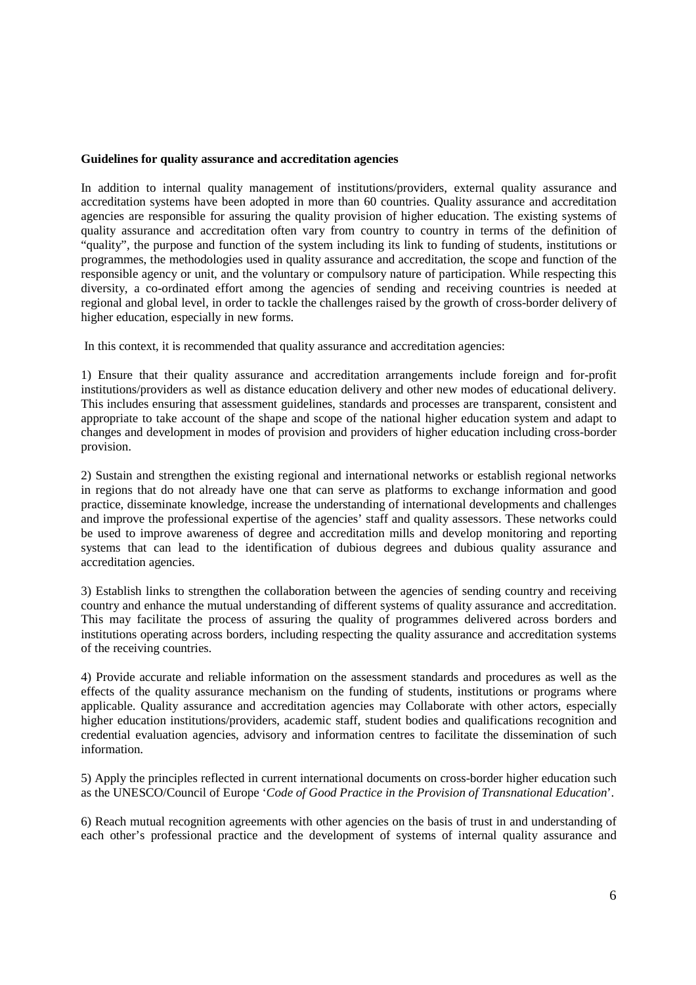#### **Guidelines for quality assurance and accreditation agencies**

In addition to internal quality management of institutions/providers, external quality assurance and accreditation systems have been adopted in more than 60 countries. Quality assurance and accreditation agencies are responsible for assuring the quality provision of higher education. The existing systems of quality assurance and accreditation often vary from country to country in terms of the definition of "quality", the purpose and function of the system including its link to funding of students, institutions or programmes, the methodologies used in quality assurance and accreditation, the scope and function of the responsible agency or unit, and the voluntary or compulsory nature of participation. While respecting this diversity, a co-ordinated effort among the agencies of sending and receiving countries is needed at regional and global level, in order to tackle the challenges raised by the growth of cross-border delivery of higher education, especially in new forms.

In this context, it is recommended that quality assurance and accreditation agencies:

1) Ensure that their quality assurance and accreditation arrangements include foreign and for-profit institutions/providers as well as distance education delivery and other new modes of educational delivery. This includes ensuring that assessment guidelines, standards and processes are transparent, consistent and appropriate to take account of the shape and scope of the national higher education system and adapt to changes and development in modes of provision and providers of higher education including cross-border provision.

2) Sustain and strengthen the existing regional and international networks or establish regional networks in regions that do not already have one that can serve as platforms to exchange information and good practice, disseminate knowledge, increase the understanding of international developments and challenges and improve the professional expertise of the agencies' staff and quality assessors. These networks could be used to improve awareness of degree and accreditation mills and develop monitoring and reporting systems that can lead to the identification of dubious degrees and dubious quality assurance and accreditation agencies.

3) Establish links to strengthen the collaboration between the agencies of sending country and receiving country and enhance the mutual understanding of different systems of quality assurance and accreditation. This may facilitate the process of assuring the quality of programmes delivered across borders and institutions operating across borders, including respecting the quality assurance and accreditation systems of the receiving countries.

4) Provide accurate and reliable information on the assessment standards and procedures as well as the effects of the quality assurance mechanism on the funding of students, institutions or programs where applicable. Quality assurance and accreditation agencies may Collaborate with other actors, especially higher education institutions/providers, academic staff, student bodies and qualifications recognition and credential evaluation agencies, advisory and information centres to facilitate the dissemination of such information.

5) Apply the principles reflected in current international documents on cross-border higher education such as the UNESCO/Council of Europe '*Code of Good Practice in the Provision of Transnational Education*'.

6) Reach mutual recognition agreements with other agencies on the basis of trust in and understanding of each other's professional practice and the development of systems of internal quality assurance and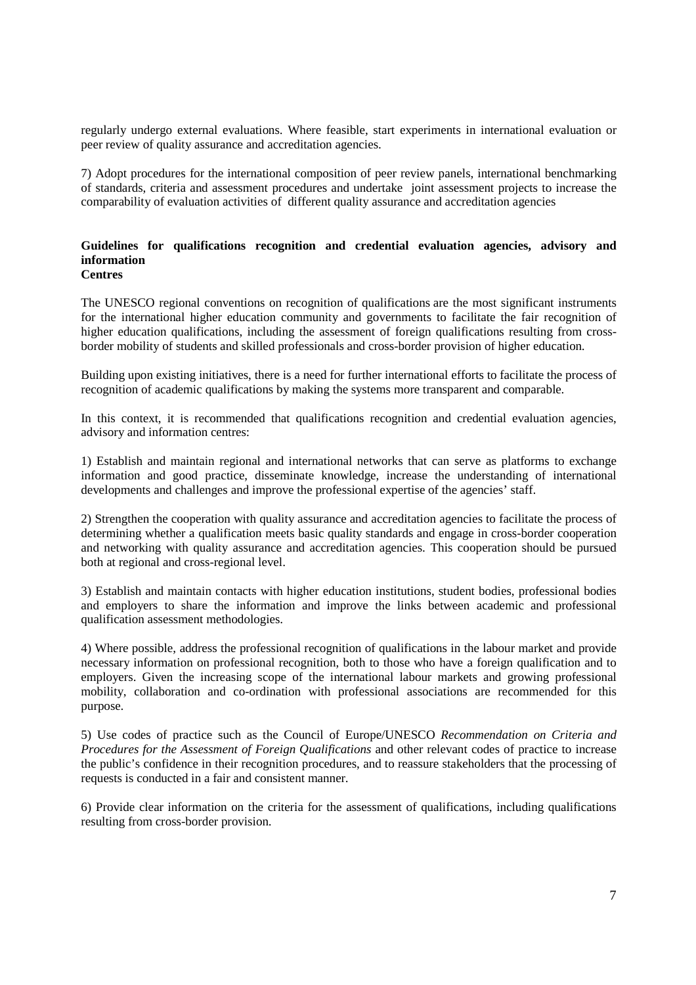regularly undergo external evaluations. Where feasible, start experiments in international evaluation or peer review of quality assurance and accreditation agencies.

7) Adopt procedures for the international composition of peer review panels, international benchmarking of standards, criteria and assessment procedures and undertake joint assessment projects to increase the comparability of evaluation activities of different quality assurance and accreditation agencies

#### **Guidelines for qualifications recognition and credential evaluation agencies, advisory and information Centres**

The UNESCO regional conventions on recognition of qualifications are the most significant instruments for the international higher education community and governments to facilitate the fair recognition of higher education qualifications, including the assessment of foreign qualifications resulting from crossborder mobility of students and skilled professionals and cross-border provision of higher education.

Building upon existing initiatives, there is a need for further international efforts to facilitate the process of recognition of academic qualifications by making the systems more transparent and comparable.

In this context, it is recommended that qualifications recognition and credential evaluation agencies, advisory and information centres:

1) Establish and maintain regional and international networks that can serve as platforms to exchange information and good practice, disseminate knowledge, increase the understanding of international developments and challenges and improve the professional expertise of the agencies' staff.

2) Strengthen the cooperation with quality assurance and accreditation agencies to facilitate the process of determining whether a qualification meets basic quality standards and engage in cross-border cooperation and networking with quality assurance and accreditation agencies. This cooperation should be pursued both at regional and cross-regional level.

3) Establish and maintain contacts with higher education institutions, student bodies, professional bodies and employers to share the information and improve the links between academic and professional qualification assessment methodologies.

4) Where possible, address the professional recognition of qualifications in the labour market and provide necessary information on professional recognition, both to those who have a foreign qualification and to employers. Given the increasing scope of the international labour markets and growing professional mobility, collaboration and co-ordination with professional associations are recommended for this purpose.

5) Use codes of practice such as the Council of Europe/UNESCO *Recommendation on Criteria and Procedures for the Assessment of Foreign Qualifications* and other relevant codes of practice to increase the public's confidence in their recognition procedures, and to reassure stakeholders that the processing of requests is conducted in a fair and consistent manner.

6) Provide clear information on the criteria for the assessment of qualifications, including qualifications resulting from cross-border provision.